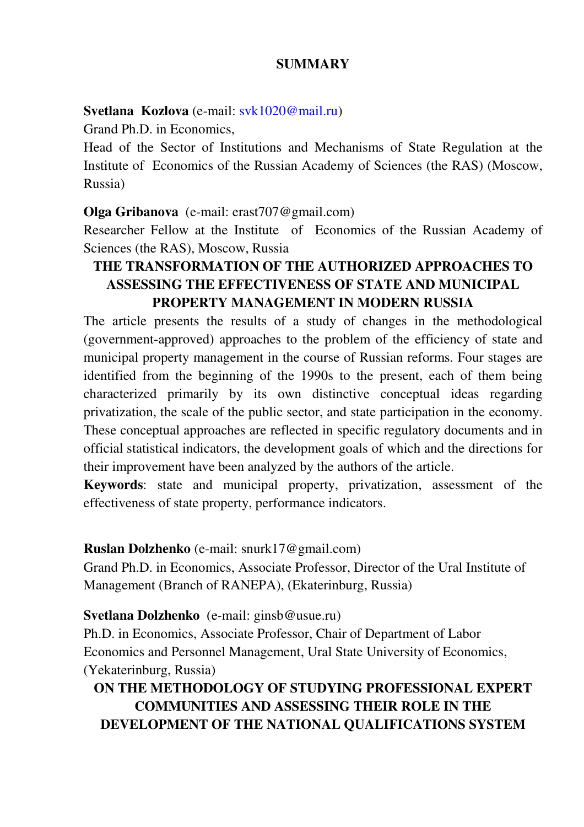### **SUMMARY**

### **Svetlana Kozlova** (e-mail: svk1020@mail.ru)

Grand Ph.D. in Economics,

Head of the Sector of Institutions and Mechanisms of State Regulation at the Institute of Economics of the Russian Academy of Sciences (the RAS) (Moscow, Russia)

### **Olga Gribanova** (e-mail: erast707@gmail.com)

Researcher Fellow at the Institute of Economics of the Russian Academy of Sciences (the RAS), Moscow, Russia

## **THE TRANSFORMATION OF THE AUTHORIZED APPROACHES TO ASSESSING THE EFFECTIVENESS OF STATE AND MUNICIPAL PROPERTY MANAGEMENT IN MODERN RUSSIA**

The article presents the results of a study of changes in the methodological (government-approved) approaches to the problem of the efficiency of state and municipal property management in the course of Russian reforms. Four stages are identified from the beginning of the 1990s to the present, each of them being characterized primarily by its own distinctive conceptual ideas regarding privatization, the scale of the public sector, and state participation in the economy. These conceptual approaches are reflected in specific regulatory documents and in official statistical indicators, the development goals of which and the directions for their improvement have been analyzed by the authors of the article.

**Keywords**: state and municipal property, privatization, assessment of the effectiveness of state property, performance indicators.

**Ruslan Dolzhenko** (е-mail: snurk17@gmail.com)

Grand Ph.D. in Economics, Associate Professor, Director of the Ural Institute of Management (Branch of RANEPA), (Ekaterinburg, Russia)

### **Svetlana Dolzhenko** (е-mail: ginsb@usue.ru)

Ph.D. in Economics, Associate Professor, Chair of Department of Labor Economics and Personnel Management, Ural State University of Economics, (Yekaterinburg, Russia)

## **ON THE METHODOLOGY OF STUDYING PROFESSIONAL EXPERT COMMUNITIES AND ASSESSING THEIR ROLE IN THE DEVELOPMENT OF THE NATIONAL QUALIFICATIONS SYSTEM**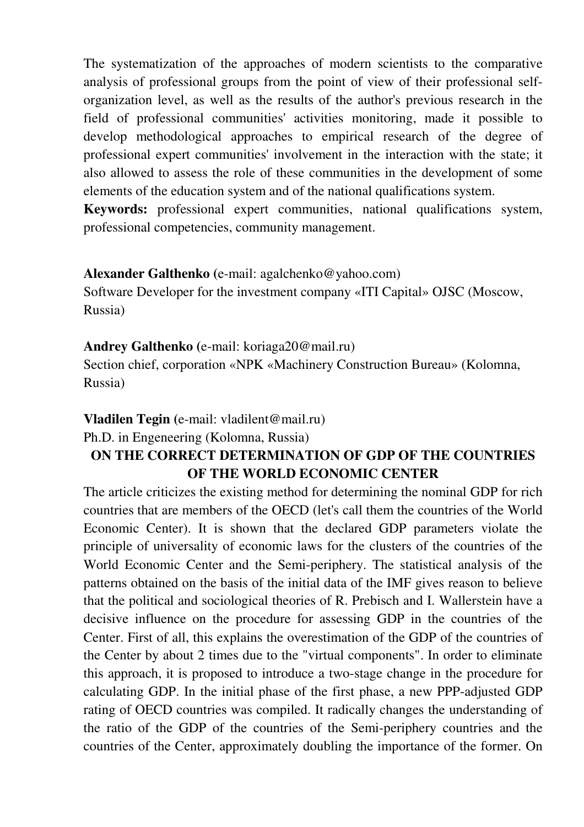The systematization of the approaches of modern scientists to the comparative analysis of professional groups from the point of view of their professional selforganization level, as well as the results of the author's previous research in the field of professional communities' activities monitoring, made it possible to develop methodological approaches to empirical research of the degree of professional expert communities' involvement in the interaction with the state; it also allowed to assess the role of these communities in the development of some elements of the education system and of the national qualifications system.

**Keywords:** professional expert communities, national qualifications system, professional competencies, community management.

### **Alexander Galthenko (**е-mail: agalchenko@yahoo.com)

Software Developer for the investment company «ITI Capital» OJSC (Moscow, Russia)

### **Andrey Galthenko (**e-mail: koriaga20@mail.ru)

Section chief, corporation «NРK «Machinery Construction Bureau» (Kolomna, Russia)

#### **Vladilen Tegin (**e-mail: vladilent@mail.ru)

Ph.D. in Engeneering (Kolomna, Russia)

### **ON THE CORRECT DETERMINATION OF GDP OF THE COUNTRIES OF THE WORLD ECONOMIC CENTER**

The article criticizes the existing method for determining the nominal GDP for rich countries that are members of the OECD (let's call them the countries of the World Economic Center). It is shown that the declared GDP parameters violate the principle of universality of economic laws for the clusters of the countries of the World Economic Center and the Semi-periphery. The statistical analysis of the patterns obtained on the basis of the initial data of the IMF gives reason to believe that the political and sociological theories of R. Prebisch and I. Wallerstein have a decisive influence on the procedure for assessing GDP in the countries of the Center. First of all, this explains the overestimation of the GDP of the countries of the Center by about 2 times due to the "virtual components". In order to eliminate this approach, it is proposed to introduce a two-stage change in the procedure for calculating GDP. In the initial phase of the first phase, a new PPP-adjusted GDP rating of OECD countries was compiled. It radically changes the understanding of the ratio of the GDP of the countries of the Semi-periphery countries and the countries of the Center, approximately doubling the importance of the former. On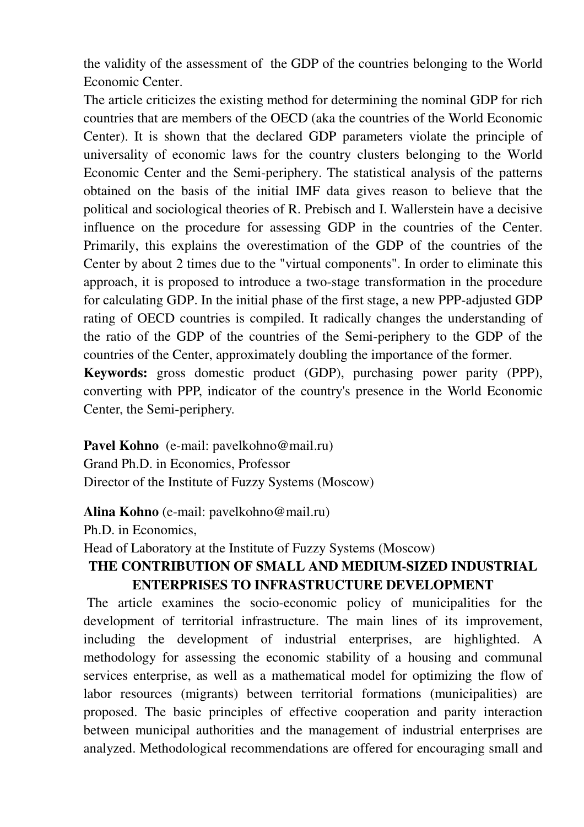the validity of the assessment of the GDP of the countries belonging to the World Economic Center.

The article criticizes the existing method for determining the nominal GDP for rich countries that are members of the OECD (aka the countries of the World Economic Center). It is shown that the declared GDP parameters violate the principle of universality of economic laws for the country clusters belonging to the World Economic Center and the Semi-periphery. The statistical analysis of the patterns obtained on the basis of the initial IMF data gives reason to believe that the political and sociological theories of R. Prebisch and I. Wallerstein have a decisive influence on the procedure for assessing GDP in the countries of the Center. Primarily, this explains the overestimation of the GDP of the countries of the Center by about 2 times due to the "virtual components". In order to eliminate this approach, it is proposed to introduce a two-stage transformation in the procedure for calculating GDP. In the initial phase of the first stage, a new PPP-adjusted GDP rating of OECD countries is compiled. It radically changes the understanding of the ratio of the GDP of the countries of the Semi-periphery to the GDP of the countries of the Center, approximately doubling the importance of the former.

**Keywords:** gross domestic product (GDP), purchasing power parity (PPP), converting with PPP, indicator of the country's presence in the World Economic Center, the Semi-periphery.

Pavel Kohno (e-mail: pavelkohno@mail.ru) Grand Ph.D. in Economics, Professor Director of the Institute of Fuzzy Systems (Moscow)

**Alina Kohno** (e-mail: pavelkohno@mail.ru)

Ph.D. in Economics,

Head of Laboratory at the Institute of Fuzzy Systems (Moscow)

## **THE CONTRIBUTION OF SMALL AND MEDIUM-SIZED INDUSTRIAL ENTERPRISES TO INFRASTRUCTURE DEVELOPMENT**

 The article examines the socio-economic policy of municipalities for the development of territorial infrastructure. The main lines of its improvement, including the development of industrial enterprises, are highlighted. A methodology for assessing the economic stability of a housing and communal services enterprise, as well as a mathematical model for optimizing the flow of labor resources (migrants) between territorial formations (municipalities) are proposed. The basic principles of effective cooperation and parity interaction between municipal authorities and the management of industrial enterprises are analyzed. Methodological recommendations are offered for encouraging small and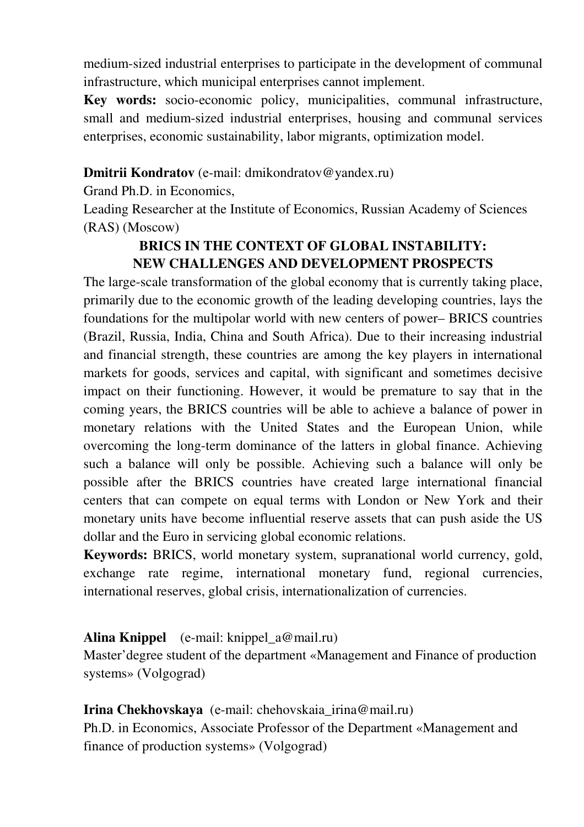medium-sized industrial enterprises to participate in the development of communal infrastructure, which municipal enterprises cannot implement.

**Key words:** socio-economic policy, municipalities, communal infrastructure, small and medium-sized industrial enterprises, housing and communal services enterprises, economic sustainability, labor migrants, optimization model.

### **Dmitrii Kondratov** (е-mail: dmikondratov@yandex.ru)

Grand Ph.D. in Economics,

Leading Researcher at the Institute of Economics, Russian Academy of Sciences (RAS) (Moscow)

# **BRICS IN THE CONTEXT OF GLOBAL INSTABILITY: NEW CHALLENGES AND DEVELOPMENT PROSPECTS**

The large-scale transformation of the global economy that is currently taking place, primarily due to the economic growth of the leading developing countries, lays the foundations for the multipolar world with new centers of power– BRICS countries (Brazil, Russia, India, China and South Africa). Due to their increasing industrial and financial strength, these countries are among the key players in international markets for goods, services and capital, with significant and sometimes decisive impact on their functioning. However, it would be premature to say that in the coming years, the BRICS countries will be able to achieve a balance of power in monetary relations with the United States and the European Union, while overcoming the long-term dominance of the latters in global finance. Achieving such a balance will only be possible. Achieving such a balance will only be possible after the BRICS countries have created large international financial centers that can compete on equal terms with London or New York and their monetary units have become influential reserve assets that can push aside the US dollar and the Euro in servicing global economic relations.

**Keywords:** BRICS, world monetary system, supranational world currency, gold, exchange rate regime, international monetary fund, regional currencies, international reserves, global crisis, internationalization of currencies.

## **Alina Knippel** (е-mail: knippel\_a@mail.ru)

Master'degree student of the department «Management and Finance of production systems» (Volgograd)

## **Irina Chekhovskaya** (е-mail: chehovskaia\_irina@mail.ru)

Ph.D. in Economics, Associate Professor of the Department «Management and finance of production systems» (Volgograd)